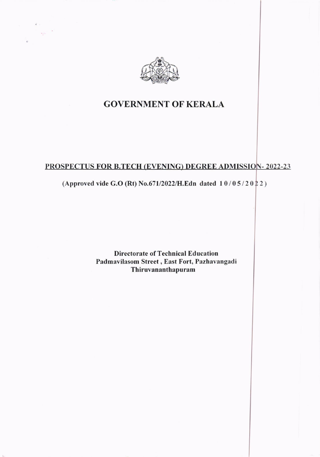

 $\sim 10^{-10}$ 

# GOVERNMENT OF KERALA

## PROSPECTUS FOR B.TECH (EVENING) DEGREE ADMISSION-2022-23

## (Approved vide G.O (Rt) No.671/2022/H.Edn dated  $10/05/2022$ )

Directorate of Technical Education Padmavilasom Street , East Fort, Pazhavangadi **Thiruvananthapuram**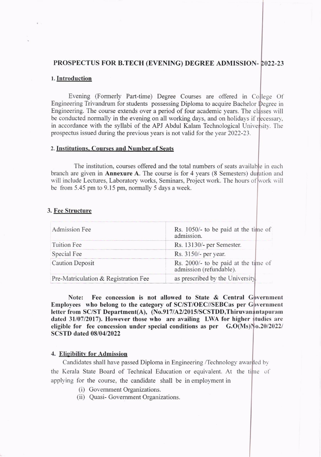## PROSPECTUS FOR B.TECH (EVENING) DEGREE ADMTSSTON-022-23

### l. Introduction

Evening (Formerly Part-time) Degree Courses are offered in College Of Engineering Trivandrum for students possessing Diploma to acquire Bachelor  $\mathbb{D}$ egree in Engineering. The course extends over a period of four academic years. The classes will be conducted normally in the evening on all working days, and on holidays if recessary. in accordance with the syllabi of the APJ Abdul Kalam Technological University. The prospectus issued during the previous years is not valid for the year 2022-23.

#### 2. Institutions. Courses and Number of Seats

The institution, courses offered and the total numbers of seats available in each branch are given in **Annexure A**. The course is for 4 years (8 Semesters) duration and will include Lectures, Laboratory works, Seminars, Project work. The hours of work will be from  $5.45$  pm to  $9.15$  pm, normally  $5$  days a week.

#### 3. Fee Structure

| Admission Fee                        | Rs. 1050/- to be paid at the time of<br>admission.              |  |
|--------------------------------------|-----------------------------------------------------------------|--|
| Tuition Fee                          | Rs. 13130/- per Semester.                                       |  |
| Special Fee                          | Rs. 3150/- per year.                                            |  |
| <b>Caution Deposit</b>               | Rs. 2000/- to be paid at the time of<br>admission (refundable). |  |
| Pre-Matriculation & Registration Fee | as prescribed by the University.                                |  |

Note: Fee concession is not allowed to State & Central Government Employees who belong to the category of SC/ST/OEC//SEBCas per Government letter from SC/ST Department(A), (No.917/A2/2015/SCSTDD,Thiruvan Intapuram dated 31/07/2017). However those who are availing LWA for higher studies are eligible for fee concession under special conditions as per  $G.O(Ms)\sim 0.20/2022$ SCSTD dated 08/04/2022

#### 4. Eligibility for Admission

Candidates shall have passed Diploma in Engineering /Technology awarded by the Kerala State Board of Technical Education or equivalent. At the time of applying for the course, the candidate shall be in employment in

- (i) Govemment Organizations.
- (ii) Quasi- Govemment Organizations.